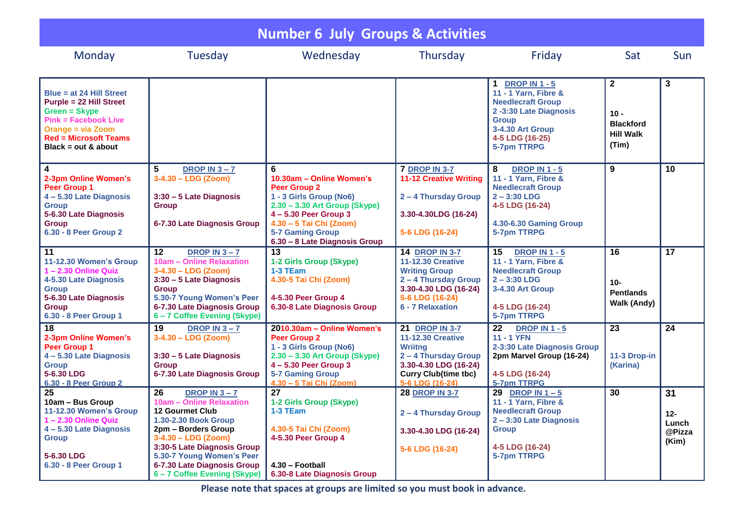| <b>Number 6 July Groups &amp; Activities</b>                                                                                                                                                    |                                                                                                                                                                                                                                                                       |                                                                                                                                                                                                                                    |                                                                                                                                                                        |                                                                                                                                                                    |                                                                         |                                       |  |
|-------------------------------------------------------------------------------------------------------------------------------------------------------------------------------------------------|-----------------------------------------------------------------------------------------------------------------------------------------------------------------------------------------------------------------------------------------------------------------------|------------------------------------------------------------------------------------------------------------------------------------------------------------------------------------------------------------------------------------|------------------------------------------------------------------------------------------------------------------------------------------------------------------------|--------------------------------------------------------------------------------------------------------------------------------------------------------------------|-------------------------------------------------------------------------|---------------------------------------|--|
| Monday                                                                                                                                                                                          | Tuesday                                                                                                                                                                                                                                                               | Wednesday                                                                                                                                                                                                                          | Thursday                                                                                                                                                               | Friday                                                                                                                                                             | Sat                                                                     | <b>Sun</b>                            |  |
| Blue = at 24 Hill Street<br><b>Purple = 22 Hill Street</b><br>Green = Skype<br><b>Pink = Facebook Live</b><br><b>Orange = via Zoom</b><br><b>Red = Microsoft Teams</b><br>Black = $out & about$ |                                                                                                                                                                                                                                                                       |                                                                                                                                                                                                                                    |                                                                                                                                                                        | 1 DROP IN 1 - 5<br>11 - 1 Yarn, Fibre &<br><b>Needlecraft Group</b><br>2-3:30 Late Diagnosis<br><b>Group</b><br>3-4.30 Art Group<br>4-5 LDG (16-25)<br>5-7pm TTRPG | $\mathbf{2}$<br>$10 -$<br><b>Blackford</b><br><b>Hill Walk</b><br>(Tim) | 3                                     |  |
| $\overline{\mathbf{4}}$<br>2-3pm Online Women's<br>Peer Group 1<br>4-5.30 Late Diagnosis<br><b>Group</b><br>5-6.30 Late Diagnosis<br><b>Group</b><br>6.30 - 8 Peer Group 2                      | 5<br><b>DROP IN 3-7</b><br>$3-4.30 - LDG$ (Zoom)<br>3:30 - 5 Late Diagnosis<br><b>Group</b><br>6-7.30 Late Diagnosis Group                                                                                                                                            | 6<br>10.30am - Online Women's<br><b>Peer Group 2</b><br>1 - 3 Girls Group (No6)<br>2.30 - 3.30 Art Group (Skype)<br>$4 - 5.30$ Peer Group 3<br>4.30 - 5 Tai Chi (Zoom)<br><b>5-7 Gaming Group</b><br>6.30 - 8 Late Diagnosis Group | <b>7 DROP IN 3-7</b><br><b>11-12 Creative Writing</b><br>2 - 4 Thursday Group<br>3.30-4.30LDG (16-24)<br>5-6 LDG (16-24)                                               | 8<br><b>DROP IN 1 - 5</b><br>11 - 1 Yarn, Fibre &<br><b>Needlecraft Group</b><br>$2 - 3:30$ LDG<br>4-5 LDG (16-24)<br>4.30-6.30 Gaming Group<br>5-7pm TTRPG        | 9                                                                       | 10                                    |  |
| 11<br>11-12.30 Women's Group<br>1-2.30 Online Quiz<br>4-5.30 Late Diagnosis<br><b>Group</b><br>5-6.30 Late Diagnosis<br><b>Group</b><br>6.30 - 8 Peer Group 1                                   | $12 \overline{ }$<br>DROP IN $3 - 7$<br>10am - Online Relaxation<br>3-4.30 - LDG (Zoom)<br>3:30 - 5 Late Diagnosis<br><b>Group</b><br>5.30-7 Young Women's Peer<br>6-7.30 Late Diagnosis Group<br>6-7 Coffee Evening (Skype)                                          | 13<br>1-2 Girls Group (Skype)<br>1-3 TEam<br>4.30-5 Tai Chi (Zoom)<br>4-5.30 Peer Group 4<br>6.30-8 Late Diagnosis Group                                                                                                           | <b>14 DROP IN 3-7</b><br><b>11-12.30 Creative</b><br><b>Writing Group</b><br>2 - 4 Thursday Group<br>3.30-4.30 LDG (16-24)<br>5-6 LDG (16-24)<br>6 - 7 Relaxation      | 15<br><b>DROP IN 1 - 5</b><br>11 - 1 Yarn, Fibre &<br><b>Needlecraft Group</b><br>$2 - 3:30$ LDG<br>3-4.30 Art Group<br>4-5 LDG (16-24)<br>5-7pm TTRPG             | 16<br>$10 -$<br><b>Pentlands</b><br>Walk (Andy)                         | 17                                    |  |
| 18<br>2-3pm Online Women's<br><b>Peer Group 1</b><br>4-5.30 Late Diagnosis<br><b>Group</b><br>5-6.30 LDG<br>6.30 - 8 Peer Group 2                                                               | 19<br>DROP IN $3 - 7$<br>$3-4.30 - LDG (Zoom)$<br>3:30 - 5 Late Diagnosis<br><b>Group</b><br>6-7.30 Late Diagnosis Group                                                                                                                                              | 2010.30am - Online Women's<br><b>Peer Group 2</b><br>1 - 3 Girls Group (No6)<br>2.30 - 3.30 Art Group (Skype)<br>4-5.30 Peer Group 3<br><b>5-7 Gaming Group</b><br>4.30 - 5 Tai Chi (Zoom)                                         | <b>21 DROP IN 3-7</b><br><b>11-12.30 Creative</b><br><b>Wriitng</b><br>2 - 4 Thursday Group<br>3.30-4.30 LDG (16-24)<br><b>Curry Club(time tbc)</b><br>5-6 LDG (16-24) | 22<br><b>DROP IN 1 - 5</b><br><b>11 - 1 YFN</b><br>2-3:30 Late Diagnosis Group<br>2pm Marvel Group (16-24)<br>4-5 LDG (16-24)<br>5-7pm TTRPG                       | 23<br>11-3 Drop-in<br>(Karina)                                          | 24                                    |  |
| 25<br>10am - Bus Group<br>11-12.30 Women's Group<br>1-2.30 Online Quiz<br>4 - 5.30 Late Diagnosis<br><b>Group</b><br>5-6.30 LDG<br>6.30 - 8 Peer Group 1                                        | 26<br>DROP IN $3 - 7$<br>10am - Online Relaxation<br>12 Gourmet Club<br>1.30-2.30 Book Group<br>2pm - Borders Group<br>$3-4.30 - LDG (Zoom)$<br>3:30-5 Late Diagnosis Group<br>5.30-7 Young Women's Peer<br>6-7.30 Late Diagnosis Group<br>6-7 Coffee Evening (Skype) | 27<br>1-2 Girls Group (Skype)<br>1-3 TEam<br>4.30-5 Tai Chi (Zoom)<br>4-5.30 Peer Group 4<br>4.30 - Football<br>6.30-8 Late Diagnosis Group                                                                                        | <b>28 DROP IN 3-7</b><br>2-4 Thursday Group<br>3.30-4.30 LDG (16-24)<br>5-6 LDG (16-24)                                                                                | 29<br>DROP IN $1-5$<br>11 - 1 Yarn, Fibre &<br><b>Needlecraft Group</b><br>2-3:30 Late Diagnosis<br><b>Group</b><br>4-5 LDG (16-24)<br>5-7pm TTRPG                 | 30                                                                      | 31<br>12-<br>Lunch<br>@Pizza<br>(Kim) |  |

**Please note that spaces at groups are limited so you must book in advance.**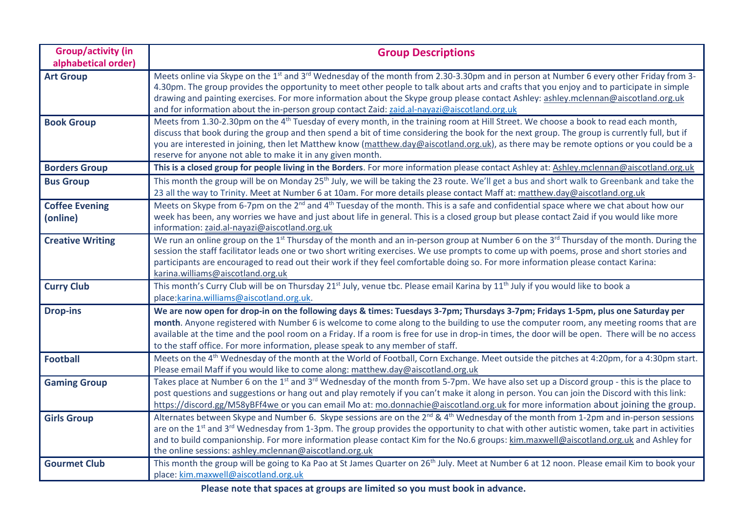| <b>Group/activity (in</b> | <b>Group Descriptions</b>                                                                                                                                                                                                           |  |
|---------------------------|-------------------------------------------------------------------------------------------------------------------------------------------------------------------------------------------------------------------------------------|--|
| alphabetical order)       |                                                                                                                                                                                                                                     |  |
| <b>Art Group</b>          | Meets online via Skype on the 1 <sup>st</sup> and 3 <sup>rd</sup> Wednesday of the month from 2.30-3.30pm and in person at Number 6 every other Friday from 3-                                                                      |  |
|                           | 4.30pm. The group provides the opportunity to meet other people to talk about arts and crafts that you enjoy and to participate in simple                                                                                           |  |
|                           | drawing and painting exercises. For more information about the Skype group please contact Ashley: ashley.mclennan@aiscotland.org.uk<br>and for information about the in-person group contact Zaid: zaid.al-nayazi@aiscotland.org.uk |  |
| <b>Book Group</b>         | Meets from 1.30-2.30pm on the 4 <sup>th</sup> Tuesday of every month, in the training room at Hill Street. We choose a book to read each month,                                                                                     |  |
|                           | discuss that book during the group and then spend a bit of time considering the book for the next group. The group is currently full, but if                                                                                        |  |
|                           | you are interested in joining, then let Matthew know (matthew.day@aiscotland.org.uk), as there may be remote options or you could be a                                                                                              |  |
|                           | reserve for anyone not able to make it in any given month.                                                                                                                                                                          |  |
| <b>Borders Group</b>      | This is a closed group for people living in the Borders. For more information please contact Ashley at: Ashley.mclennan@aiscotland.org.uk                                                                                           |  |
| <b>Bus Group</b>          | This month the group will be on Monday 25 <sup>th</sup> July, we will be taking the 23 route. We'll get a bus and short walk to Greenbank and take the                                                                              |  |
|                           | 23 all the way to Trinity. Meet at Number 6 at 10am. For more details please contact Maff at: matthew.day@aiscotland.org.uk                                                                                                         |  |
| <b>Coffee Evening</b>     | Meets on Skype from 6-7pm on the 2 <sup>nd</sup> and 4 <sup>th</sup> Tuesday of the month. This is a safe and confidential space where we chat about how our                                                                        |  |
| (online)                  | week has been, any worries we have and just about life in general. This is a closed group but please contact Zaid if you would like more                                                                                            |  |
|                           | information: zaid.al-nayazi@aiscotland.org.uk                                                                                                                                                                                       |  |
| <b>Creative Writing</b>   | We run an online group on the 1 <sup>st</sup> Thursday of the month and an in-person group at Number 6 on the 3 <sup>rd</sup> Thursday of the month. During the                                                                     |  |
|                           | session the staff facilitator leads one or two short writing exercises. We use prompts to come up with poems, prose and short stories and                                                                                           |  |
|                           | participants are encouraged to read out their work if they feel comfortable doing so. For more information please contact Karina:                                                                                                   |  |
|                           | karina.williams@aiscotland.org.uk                                                                                                                                                                                                   |  |
| <b>Curry Club</b>         | This month's Curry Club will be on Thursday 21 <sup>st</sup> July, venue tbc. Please email Karina by 11 <sup>th</sup> July if you would like to book a                                                                              |  |
|                           | place:karina.williams@aiscotland.org.uk.                                                                                                                                                                                            |  |
| <b>Drop-ins</b>           | We are now open for drop-in on the following days & times: Tuesdays 3-7pm; Thursdays 3-7pm; Fridays 1-5pm, plus one Saturday per                                                                                                    |  |
|                           | month. Anyone registered with Number 6 is welcome to come along to the building to use the computer room, any meeting rooms that are                                                                                                |  |
|                           | available at the time and the pool room on a Friday. If a room is free for use in drop-in times, the door will be open. There will be no access<br>to the staff office. For more information, please speak to any member of staff.  |  |
| <b>Football</b>           | Meets on the 4 <sup>th</sup> Wednesday of the month at the World of Football, Corn Exchange. Meet outside the pitches at 4:20pm, for a 4:30pm start.                                                                                |  |
|                           | Please email Maff if you would like to come along: matthew.day@aiscotland.org.uk                                                                                                                                                    |  |
| <b>Gaming Group</b>       | Takes place at Number 6 on the 1 <sup>st</sup> and 3 <sup>rd</sup> Wednesday of the month from 5-7pm. We have also set up a Discord group - this is the place to                                                                    |  |
|                           | post questions and suggestions or hang out and play remotely if you can't make it along in person. You can join the Discord with this link:                                                                                         |  |
|                           | https://discord.gg/M58yBFf4we or you can email Mo at: mo.donnachie@aiscotland.org.uk for more information about joining the group.                                                                                                  |  |
| <b>Girls Group</b>        | Alternates between Skype and Number 6. Skype sessions are on the 2 <sup>nd</sup> & 4 <sup>th</sup> Wednesday of the month from 1-2pm and in-person sessions                                                                         |  |
|                           | are on the 1 <sup>st</sup> and 3 <sup>rd</sup> Wednesday from 1-3pm. The group provides the opportunity to chat with other autistic women, take part in activities                                                                  |  |
|                           | and to build companionship. For more information please contact Kim for the No.6 groups: kim.maxwell@aiscotland.org.uk and Ashley for                                                                                               |  |
|                           | the online sessions: ashley.mclennan@aiscotland.org.uk                                                                                                                                                                              |  |
| <b>Gourmet Club</b>       | This month the group will be going to Ka Pao at St James Quarter on 26 <sup>th</sup> July. Meet at Number 6 at 12 noon. Please email Kim to book your                                                                               |  |
|                           | place: kim.maxwell@aiscotland.org.uk                                                                                                                                                                                                |  |

**Please note that spaces at groups are limited so you must book in advance.**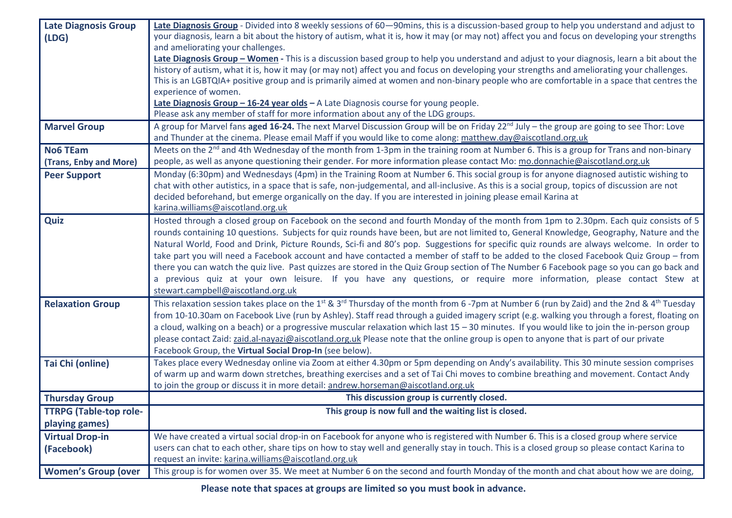| <b>Late Diagnosis Group</b>   | Late Diagnosis Group - Divided into 8 weekly sessions of 60-90mins, this is a discussion-based group to help you understand and adjust to                                     |  |
|-------------------------------|-------------------------------------------------------------------------------------------------------------------------------------------------------------------------------|--|
| (LDG)                         | your diagnosis, learn a bit about the history of autism, what it is, how it may (or may not) affect you and focus on developing your strengths                                |  |
|                               | and ameliorating your challenges.                                                                                                                                             |  |
|                               | Late Diagnosis Group - Women - This is a discussion based group to help you understand and adjust to your diagnosis, learn a bit about the                                    |  |
|                               | history of autism, what it is, how it may (or may not) affect you and focus on developing your strengths and ameliorating your challenges.                                    |  |
|                               | This is an LGBTQIA+ positive group and is primarily aimed at women and non-binary people who are comfortable in a space that centres the                                      |  |
|                               | experience of women.                                                                                                                                                          |  |
|                               | Late Diagnosis Group - 16-24 year olds - A Late Diagnosis course for young people.                                                                                            |  |
|                               | Please ask any member of staff for more information about any of the LDG groups.                                                                                              |  |
| <b>Marvel Group</b>           | A group for Marvel fans aged 16-24. The next Marvel Discussion Group will be on Friday 22 <sup>nd</sup> July – the group are going to see Thor: Love                          |  |
|                               | and Thunder at the cinema. Please email Maff if you would like to come along: matthew.day@aiscotland.org.uk                                                                   |  |
| <b>No6 TEam</b>               | Meets on the 2 <sup>nd</sup> and 4th Wednesday of the month from 1-3pm in the training room at Number 6. This is a group for Trans and non-binary                             |  |
| (Trans, Enby and More)        | people, as well as anyone questioning their gender. For more information please contact Mo: mo.donnachie@aiscotland.org.uk                                                    |  |
| <b>Peer Support</b>           | Monday (6:30pm) and Wednesdays (4pm) in the Training Room at Number 6. This social group is for anyone diagnosed autistic wishing to                                          |  |
|                               | chat with other autistics, in a space that is safe, non-judgemental, and all-inclusive. As this is a social group, topics of discussion are not                               |  |
|                               | decided beforehand, but emerge organically on the day. If you are interested in joining please email Karina at                                                                |  |
|                               | karina.williams@aiscotland.org.uk                                                                                                                                             |  |
| Quiz                          | Hosted through a closed group on Facebook on the second and fourth Monday of the month from 1pm to 2.30pm. Each quiz consists of 5                                            |  |
|                               | rounds containing 10 questions. Subjects for quiz rounds have been, but are not limited to, General Knowledge, Geography, Nature and the                                      |  |
|                               | Natural World, Food and Drink, Picture Rounds, Sci-fi and 80's pop. Suggestions for specific quiz rounds are always welcome. In order to                                      |  |
|                               | take part you will need a Facebook account and have contacted a member of staff to be added to the closed Facebook Quiz Group - from                                          |  |
|                               | there you can watch the quiz live. Past quizzes are stored in the Quiz Group section of The Number 6 Facebook page so you can go back and                                     |  |
|                               | a previous quiz at your own leisure. If you have any questions, or require more information, please contact Stew at                                                           |  |
|                               | stewart.campbell@aiscotland.org.uk                                                                                                                                            |  |
| <b>Relaxation Group</b>       | This relaxation session takes place on the 1 <sup>st</sup> & 3 <sup>rd</sup> Thursday of the month from 6-7pm at Number 6 (run by Zaid) and the 2nd & 4 <sup>th</sup> Tuesday |  |
|                               | from 10-10.30am on Facebook Live (run by Ashley). Staff read through a guided imagery script (e.g. walking you through a forest, floating on                                  |  |
|                               | a cloud, walking on a beach) or a progressive muscular relaxation which last 15 - 30 minutes. If you would like to join the in-person group                                   |  |
|                               | please contact Zaid: zaid.al-nayazi@aiscotland.org.uk Please note that the online group is open to anyone that is part of our private                                         |  |
|                               | Facebook Group, the Virtual Social Drop-In (see below).                                                                                                                       |  |
| Tai Chi (online)              | Takes place every Wednesday online via Zoom at either 4.30pm or 5pm depending on Andy's availability. This 30 minute session comprises                                        |  |
|                               | of warm up and warm down stretches, breathing exercises and a set of Tai Chi moves to combine breathing and movement. Contact Andy                                            |  |
|                               | to join the group or discuss it in more detail: andrew.horseman@aiscotland.org.uk                                                                                             |  |
| <b>Thursday Group</b>         | This discussion group is currently closed.                                                                                                                                    |  |
| <b>TTRPG (Table-top role-</b> | This group is now full and the waiting list is closed.                                                                                                                        |  |
| playing games)                |                                                                                                                                                                               |  |
| <b>Virtual Drop-in</b>        | We have created a virtual social drop-in on Facebook for anyone who is registered with Number 6. This is a closed group where service                                         |  |
| (Facebook)                    | users can chat to each other, share tips on how to stay well and generally stay in touch. This is a closed group so please contact Karina to                                  |  |
|                               | request an invite: karina.williams@aiscotland.org.uk                                                                                                                          |  |
| <b>Women's Group (over</b>    | This group is for women over 35. We meet at Number 6 on the second and fourth Monday of the month and chat about how we are doing,                                            |  |

**Please note that spaces at groups are limited so you must book in advance.**